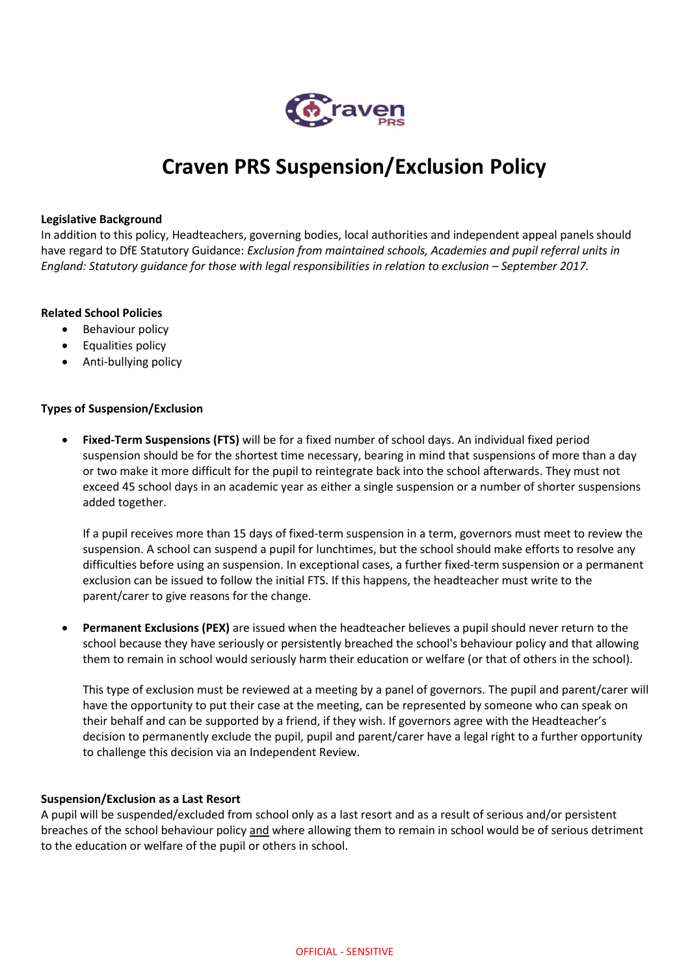

# **Craven PRS Suspension/Exclusion Policy**

#### **Legislative Background**

In addition to this policy, Headteachers, governing bodies, local authorities and independent appeal panels should have regard to DfE Statutory Guidance: *Exclusion from maintained schools, Academies and pupil referral units in England: Statutory guidance for those with legal responsibilities in relation to exclusion – September 2017.* 

#### **Related School Policies**

- Behaviour policy
- Equalities policy
- Anti-bullying policy

# **Types of Suspension/Exclusion**

• **Fixed-Term Suspensions (FTS)** will be for a fixed number of school days. An individual fixed period suspension should be for the shortest time necessary, bearing in mind that suspensions of more than a day or two make it more difficult for the pupil to reintegrate back into the school afterwards. They must not exceed 45 school days in an academic year as either a single suspension or a number of shorter suspensions added together.

If a pupil receives more than 15 days of fixed-term suspension in a term, governors must meet to review the suspension. A school can suspend a pupil for lunchtimes, but the school should make efforts to resolve any difficulties before using an suspension. In exceptional cases, a further fixed-term suspension or a permanent exclusion can be issued to follow the initial FTS. If this happens, the headteacher must write to the parent/carer to give reasons for the change.

• **Permanent Exclusions (PEX)** are issued when the headteacher believes a pupil should never return to the school because they have seriously or persistently breached the school's behaviour policy and that allowing them to remain in school would seriously harm their education or welfare (or that of others in the school).

This type of exclusion must be reviewed at a meeting by a panel of governors. The pupil and parent/carer will have the opportunity to put their case at the meeting, can be represented by someone who can speak on their behalf and can be supported by a friend, if they wish. If governors agree with the Headteacher's decision to permanently exclude the pupil, pupil and parent/carer have a legal right to a further opportunity to challenge this decision via an Independent Review.

#### **Suspension/Exclusion as a Last Resort**

A pupil will be suspended/excluded from school only as a last resort and as a result of serious and/or persistent breaches of the school behaviour policy and where allowing them to remain in school would be of serious detriment to the education or welfare of the pupil or others in school.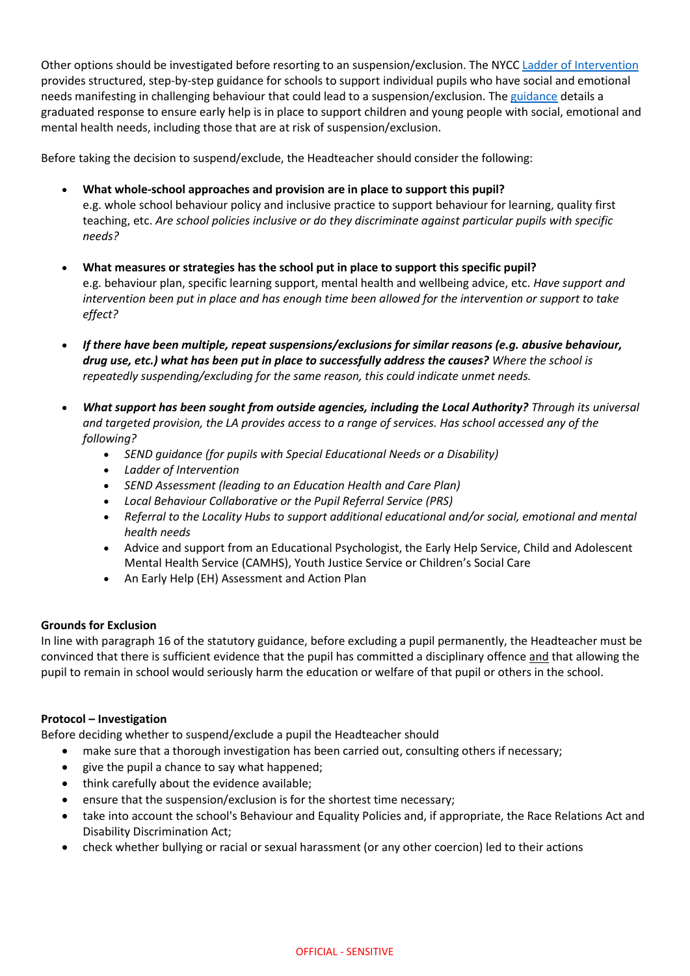Other options should be investigated before resorting to an suspension/exclusion. The NYCC [Ladder of Intervention](https://cyps.northyorks.gov.uk/sites/default/files/Supporting%20Children%20and%20Families/SEND/Exclusions/75036%20Ladder%20of%20Intervention%20final.pdf)  provides structured, step-by-step guidance for schools to support individual pupils who have social and emotional needs manifesting in challenging behaviour that could lead to a suspension/exclusion. Th[e guidance](https://cyps.northyorks.gov.uk/sites/default/files/Supporting%20Children%20and%20Families/SEND/Exclusions/76099_Intervention%20guidance_interactive%20final.pdf) details a graduated response to ensure early help is in place to support children and young people with social, emotional and mental health needs, including those that are at risk of suspension/exclusion.

Before taking the decision to suspend/exclude, the Headteacher should consider the following:

- **What whole-school approaches and provision are in place to support this pupil?** e.g. whole school behaviour policy and inclusive practice to support behaviour for learning, quality first teaching, etc. *Are school policies inclusive or do they discriminate against particular pupils with specific needs?*
- **What measures or strategies has the school put in place to support this specific pupil?** e.g. behaviour plan, specific learning support, mental health and wellbeing advice, etc. *Have support and intervention been put in place and has enough time been allowed for the intervention or support to take effect?*
- *If there have been multiple, repeat suspensions/exclusions for similar reasons (e.g. abusive behaviour, drug use, etc.) what has been put in place to successfully address the causes? Where the school is repeatedly suspending/excluding for the same reason, this could indicate unmet needs.*
- *What support has been sought from outside agencies, including the Local Authority? Through its universal and targeted provision, the LA provides access to a range of services. Has school accessed any of the following?*
	- *SEND guidance (for pupils with Special Educational Needs or a Disability)*
	- *Ladder of Intervention*
	- *SEND Assessment (leading to an Education Health and Care Plan)*
	- *Local Behaviour Collaborative or the Pupil Referral Service (PRS)*
	- *Referral to the Locality Hubs to support additional educational and/or social, emotional and mental health needs*
	- Advice and support from an Educational Psychologist, the Early Help Service, Child and Adolescent Mental Health Service (CAMHS), Youth Justice Service or Children's Social Care
	- An Early Help (EH) Assessment and Action Plan

# **Grounds for Exclusion**

In line with paragraph 16 of the statutory guidance, before excluding a pupil permanently, the Headteacher must be convinced that there is sufficient evidence that the pupil has committed a disciplinary offence and that allowing the pupil to remain in school would seriously harm the education or welfare of that pupil or others in the school.

# **Protocol – Investigation**

Before deciding whether to suspend/exclude a pupil the Headteacher should

- make sure that a thorough investigation has been carried out, consulting others if necessary;
- give the pupil a chance to say what happened;
- think carefully about the evidence available;
- ensure that the suspension/exclusion is for the shortest time necessary;
- take into account the school's Behaviour and Equality Policies and, if appropriate, the Race Relations Act and Disability Discrimination Act;
- check whether bullying or racial or sexual harassment (or any other coercion) led to their actions